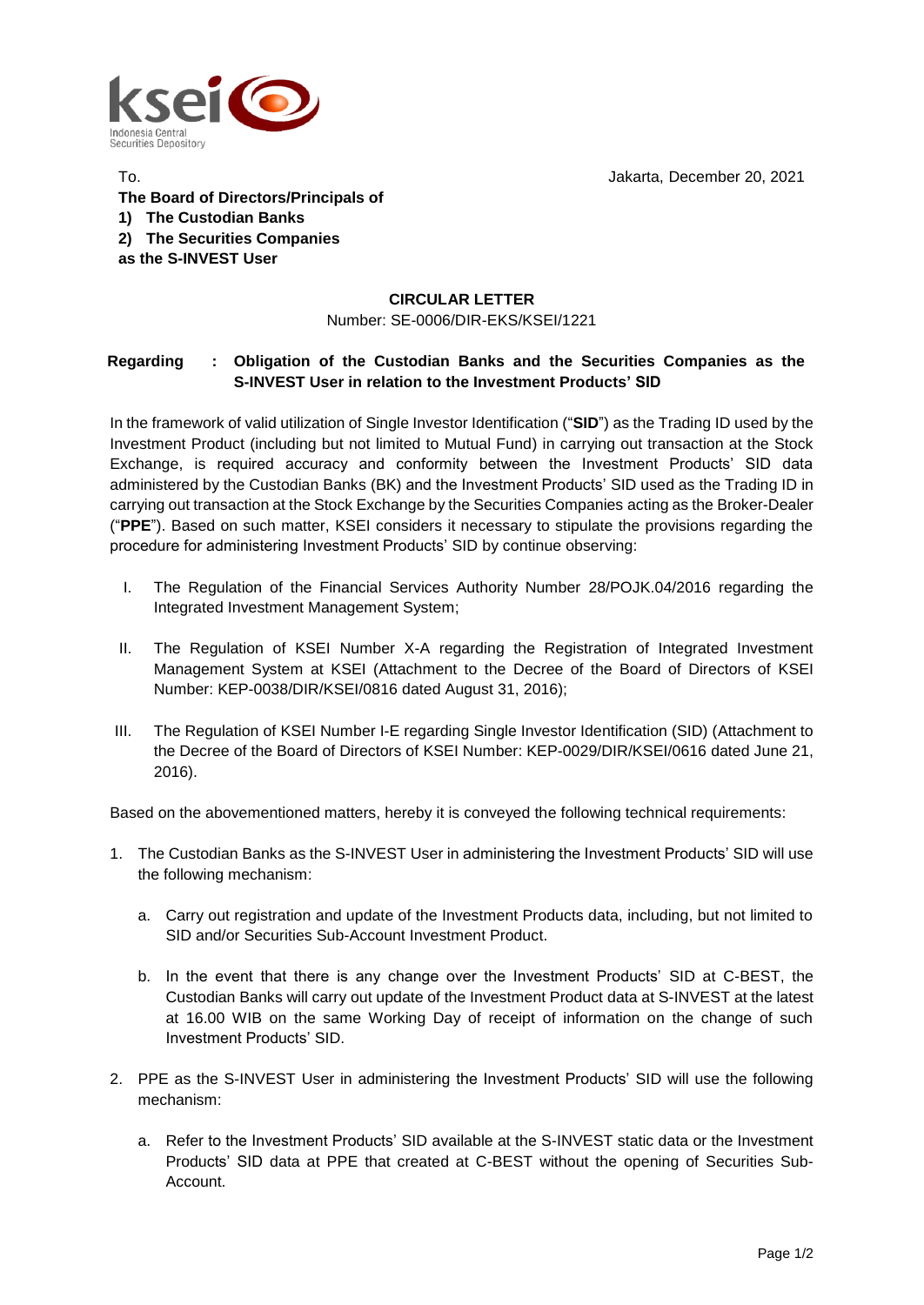Jakarta, December 20, 2021



To. **The Board of Directors/Principals of 1) The Custodian Banks 2) The Securities Companies as the S-INVEST User**

## **CIRCULAR LETTER**

Number: SE-0006/DIR-EKS/KSEI/1221

## **Regarding : Obligation of the Custodian Banks and the Securities Companies as the S-INVEST User in relation to the Investment Products' SID**

In the framework of valid utilization of Single Investor Identification ("**SID**") as the Trading ID used by the Investment Product (including but not limited to Mutual Fund) in carrying out transaction at the Stock Exchange, is required accuracy and conformity between the Investment Products' SID data administered by the Custodian Banks (BK) and the Investment Products' SID used as the Trading ID in carrying out transaction at the Stock Exchange by the Securities Companies acting as the Broker-Dealer ("**PPE**"). Based on such matter, KSEI considers it necessary to stipulate the provisions regarding the procedure for administering Investment Products' SID by continue observing:

- I. The Regulation of the Financial Services Authority Number 28/POJK.04/2016 regarding the Integrated Investment Management System;
- II. The Regulation of KSEI Number X-A regarding the Registration of Integrated Investment Management System at KSEI (Attachment to the Decree of the Board of Directors of KSEI Number: KEP-0038/DIR/KSEI/0816 dated August 31, 2016);
- III. The Regulation of KSEI Number I-E regarding Single Investor Identification (SID) (Attachment to the Decree of the Board of Directors of KSEI Number: KEP-0029/DIR/KSEI/0616 dated June 21, 2016).

Based on the abovementioned matters, hereby it is conveyed the following technical requirements:

- 1. The Custodian Banks as the S-INVEST User in administering the Investment Products' SID will use the following mechanism:
	- a. Carry out registration and update of the Investment Products data, including, but not limited to SID and/or Securities Sub-Account Investment Product.
	- b. In the event that there is any change over the Investment Products' SID at C-BEST, the Custodian Banks will carry out update of the Investment Product data at S-INVEST at the latest at 16.00 WIB on the same Working Day of receipt of information on the change of such Investment Products' SID.
- 2. PPE as the S-INVEST User in administering the Investment Products' SID will use the following mechanism:
	- a. Refer to the Investment Products' SID available at the S-INVEST static data or the Investment Products' SID data at PPE that created at C-BEST without the opening of Securities Sub-Account.